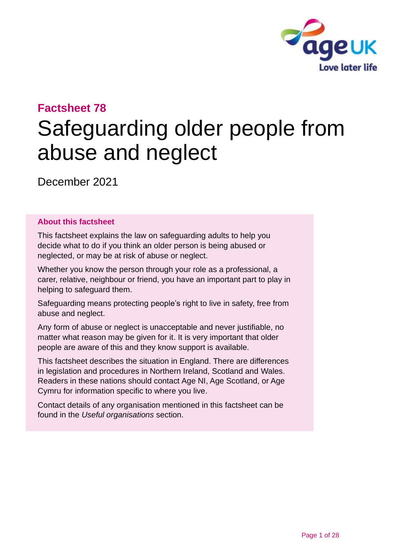

# **Factsheet 78**

# Safeguarding older people from abuse and neglect

December 2021

#### **About this factsheet**

This factsheet explains the law on safeguarding adults to help you decide what to do if you think an older person is being abused or neglected, or may be at risk of abuse or neglect.

Whether you know the person through your role as a professional, a carer, relative, neighbour or friend, you have an important part to play in helping to safeguard them.

Safeguarding means protecting people's right to live in safety, free from abuse and neglect.

Any form of abuse or neglect is unacceptable and never justifiable, no matter what reason may be given for it. It is very important that older people are aware of this and they know support is available.

This factsheet describes the situation in England. There are differences in legislation and procedures in Northern Ireland, Scotland and Wales. Readers in these nations should contact [Age NI,](#page-26-0) [Age Scotland,](#page-26-1) or [Age](#page-26-2)  [Cymru](#page-26-2) for information specific to where you live.

Contact details of any organisation mentioned in this factsheet can be found in the *Useful [organisations](#page-24-0)* section.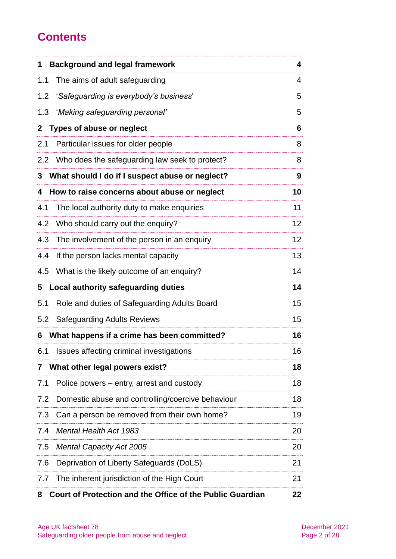# **Contents**

| 1                | <b>Background and legal framework</b>                     | 4               |
|------------------|-----------------------------------------------------------|-----------------|
| 1.1              | The aims of adult safeguarding                            | 4               |
| 1.2              | 'Safeguarding is everybody's business'                    | 5               |
| 1.3              | 'Making safeguarding personal'                            | 5               |
| $\mathbf{2}$     | <b>Types of abuse or neglect</b>                          | 6               |
| 2.1              | Particular issues for older people                        | 8               |
| $2.2\phantom{0}$ | Who does the safeguarding law seek to protect?            | 8               |
| 3                | What should I do if I suspect abuse or neglect?           | 9               |
| 4                | How to raise concerns about abuse or neglect              | 10              |
| 4.1              | The local authority duty to make enquiries                | 11              |
| 4.2              | Who should carry out the enquiry?                         | 12 <sub>2</sub> |
| 4.3              | The involvement of the person in an enquiry               | 12 <sub>2</sub> |
| 4.4              | If the person lacks mental capacity                       | 13              |
| 4.5              | What is the likely outcome of an enquiry?                 | 14              |
| 5                | Local authority safeguarding duties                       | 14              |
| 5.1              | Role and duties of Safeguarding Adults Board              | 15              |
| 5.2              | <b>Safeguarding Adults Reviews</b>                        | 15              |
| 6                | What happens if a crime has been committed?               | 16              |
| 6.1              | Issues affecting criminal investigations                  | 16              |
| 7                | What other legal powers exist?                            | 18              |
| 7.1              | Police powers – entry, arrest and custody                 | 18              |
| 7.2              | Domestic abuse and controlling/coercive behaviour         | 18              |
| 7.3              | Can a person be removed from their own home?              | 19              |
| 7.4              | <b>Mental Health Act 1983</b>                             | 20              |
| 7.5              | <b>Mental Capacity Act 2005</b>                           | 20              |
| 7.6              | Deprivation of Liberty Safeguards (DoLS)                  | 21              |
| 7.7              | The inherent jurisdiction of the High Court               | 21              |
| 8                | Court of Protection and the Office of the Public Guardian | 22              |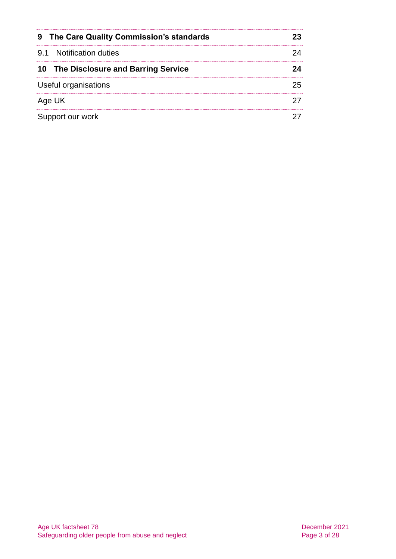| 9 The Care Quality Commission's standards |  |
|-------------------------------------------|--|
| 9.1 Notification duties                   |  |
| 10 The Disclosure and Barring Service     |  |
| Useful organisations                      |  |
| Age UK                                    |  |
| Support our work                          |  |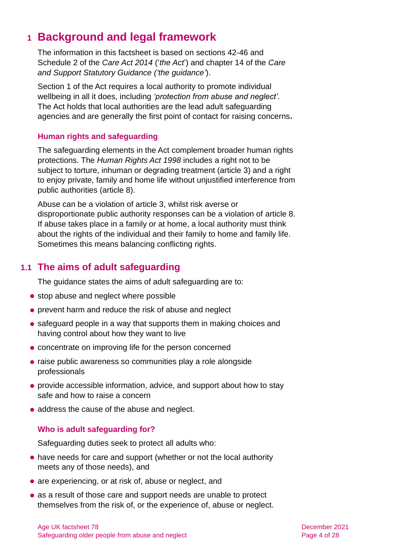# <span id="page-3-0"></span>**1 Background and legal framework**

The information in this factsheet is based on sections 42-46 and Schedule 2 of the *[Care Act 2014](https://www.legislation.gov.uk/ukpga/2014/23/contents)* ('*the Act*') and chapter 14 of the *[Care](https://www.gov.uk/government/publications/care-act-statutory-guidance/care-and-support-statutory-guidance)  [and Support Statutory Guidance](https://www.gov.uk/government/publications/care-act-statutory-guidance/care-and-support-statutory-guidance) ('the guidance'*).

Section 1 of the Act requires a local authority to promote individual wellbeing in all it does, including *'protection from abuse and neglect'*. The Act holds that local authorities are the lead adult safeguarding agencies and are generally the first point of contact for raising concerns**.**

#### **Human rights and safeguarding**

The safeguarding elements in the Act complement broader human rights protections. The *[Human Rights Act 1998](https://www.legislation.gov.uk/ukpga/1998/42/contents)* includes a right not to be subject to torture, inhuman or degrading treatment (article 3) and a right to enjoy private, family and home life without unjustified interference from public authorities (article 8).

Abuse can be a violation of article 3, whilst risk averse or disproportionate public authority responses can be a violation of article 8. If abuse takes place in a family or at home, a local authority must think about the rights of the individual and their family to home and family life. Sometimes this means balancing conflicting rights.

# **1.1 The aims of adult safeguarding**

The guidance states the aims of adult safeguarding are to:

- stop abuse and neglect where possible
- ⚫ prevent harm and reduce the risk of abuse and neglect
- safeguard people in a way that supports them in making choices and having control about how they want to live
- ⚫ concentrate on improving life for the person concerned
- ⚫ raise public awareness so communities play a role alongside professionals
- ⚫ provide accessible information, advice, and support about how to stay safe and how to raise a concern
- address the cause of the abuse and neglect.

#### **Who is adult safeguarding for?**

Safeguarding duties seek to protect all adults who:

- ⚫ have needs for care and support (whether or not the local authority meets any of those needs), and
- are experiencing, or at risk of, abuse or neglect, and
- as a result of those care and support needs are unable to protect themselves from the risk of, or the experience of, abuse or neglect.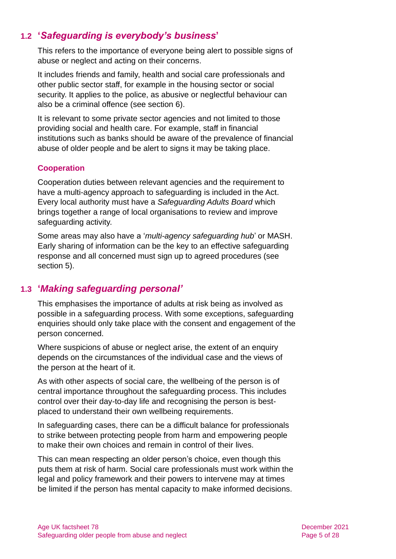# **1.2 '***Safeguarding is everybody's business***'**

This refers to the importance of everyone being alert to possible signs of abuse or neglect and acting on their concerns.

It includes friends and family, health and social care professionals and other public sector staff, for example in the housing sector or social security. It applies to the police, as abusive or neglectful behaviour can also be a criminal offence (see [section 6\)](#page-15-0).

It is relevant to some private sector agencies and not limited to those providing social and health care. For example, staff in financial institutions such as banks should be aware of the prevalence of financial abuse of older people and be alert to signs it may be taking place.

#### **Cooperation**

Cooperation duties between relevant agencies and the requirement to have a multi-agency approach to safeguarding is included in the Act. Every local authority must have a *Safeguarding Adults Board* which brings together a range of local organisations to review and improve safeguarding activity.

Some areas may also have a '*multi-agency safeguarding hub*' or MASH. Early sharing of information can be the key to an effective safeguarding response and all concerned must sign up to agreed procedures (see [section 5\)](#page-13-0).

### **1.3 '***Making safeguarding personal'*

This emphasises the importance of adults at risk being as involved as possible in a safeguarding process. With some exceptions, safeguarding enquiries should only take place with the consent and engagement of the person concerned.

Where suspicions of abuse or neglect arise, the extent of an enquiry depends on the circumstances of the individual case and the views of the person at the heart of it.

As with other aspects of social care, the wellbeing of the person is of central importance throughout the safeguarding process. This includes control over their day-to-day life and recognising the person is bestplaced to understand their own wellbeing requirements.

In safeguarding cases, there can be a difficult balance for professionals to strike between protecting people from harm and empowering people to make their own choices and remain in control of their lives.

This can mean respecting an older person's choice, even though this puts them at risk of harm. Social care professionals must work within the legal and policy framework and their powers to intervene may at times be limited if the person has mental capacity to make informed decisions.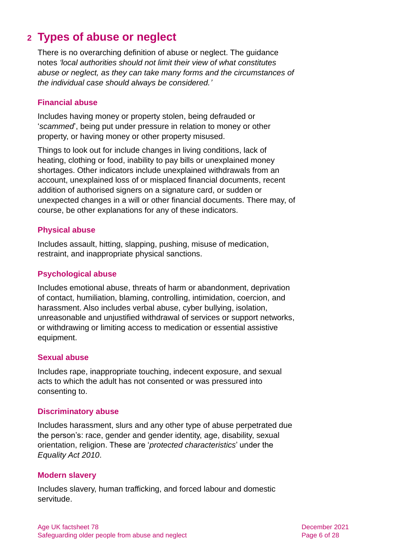# <span id="page-5-0"></span>**2 Types of abuse or neglect**

There is no overarching definition of abuse or neglect. The guidance notes *'local authorities should not limit their view of what constitutes abuse or neglect, as they can take many forms and the circumstances of the individual case should always be considered.'*

#### **Financial abuse**

Includes having money or property stolen, being defrauded or '*scammed*', being put under pressure in relation to money or other property, or having money or other property misused.

Things to look out for include changes in living conditions, lack of heating, clothing or food, inability to pay bills or unexplained money shortages. Other indicators include unexplained withdrawals from an account, unexplained loss of or misplaced financial documents, recent addition of authorised signers on a signature card, or sudden or unexpected changes in a will or other financial documents. There may, of course, be other explanations for any of these indicators.

#### **Physical abuse**

Includes assault, hitting, slapping, pushing, misuse of medication, restraint, and inappropriate physical sanctions.

#### **Psychological abuse**

Includes emotional abuse, threats of harm or abandonment, deprivation of contact, humiliation, blaming, controlling, intimidation, coercion, and harassment. Also includes verbal abuse, cyber bullying, isolation, unreasonable and unjustified withdrawal of services or support networks, or withdrawing or limiting access to medication or essential assistive equipment.

#### **Sexual abuse**

Includes rape, inappropriate touching, indecent exposure, and sexual acts to which the adult has not consented or was pressured into consenting to.

#### **Discriminatory abuse**

Includes harassment, slurs and any other type of abuse perpetrated due the person's: race, gender and gender identity, age, disability, sexual orientation, religion. These are '*protected characteristics*' under the *[Equality Act 2010](https://www.legislation.gov.uk/ukpga/2010/15/contents)*.

#### **Modern slavery**

Includes slavery, human trafficking, and forced labour and domestic servitude.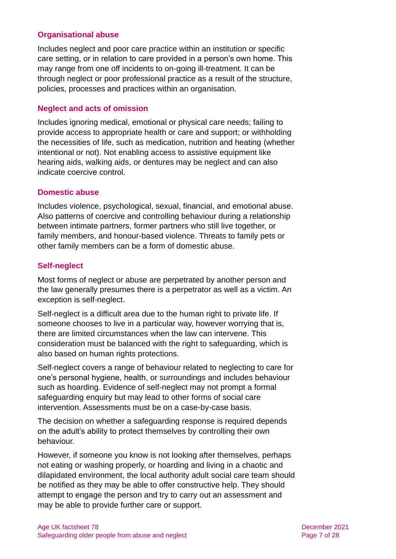#### **Organisational abuse**

Includes neglect and poor care practice within an institution or specific care setting, or in relation to care provided in a person's own home. This may range from one off incidents to on-going ill-treatment. It can be through neglect or poor professional practice as a result of the structure, policies, processes and practices within an organisation.

#### **Neglect and acts of omission**

Includes ignoring medical, emotional or physical care needs; failing to provide access to appropriate health or care and support; or withholding the necessities of life, such as medication, nutrition and heating (whether intentional or not). Not enabling access to assistive equipment like hearing aids, walking aids, or dentures may be neglect and can also indicate coercive control.

#### **Domestic abuse**

Includes violence, psychological, sexual, financial, and emotional abuse. Also patterns of coercive and controlling behaviour during a relationship between intimate partners, former partners who still live together, or family members, and honour-based violence. Threats to family pets or other family members can be a form of domestic abuse.

#### **Self-neglect**

Most forms of neglect or abuse are perpetrated by another person and the law generally presumes there is a perpetrator as well as a victim. An exception is self-neglect.

Self-neglect is a difficult area due to the human right to private life. If someone chooses to live in a particular way, however worrying that is, there are limited circumstances when the law can intervene. This consideration must be balanced with the right to safeguarding, which is also based on human rights protections.

Self-neglect covers a range of behaviour related to neglecting to care for one's personal hygiene, health, or surroundings and includes behaviour such as hoarding. Evidence of self-neglect may not prompt a formal safeguarding enquiry but may lead to other forms of social care intervention. Assessments must be on a case-by-case basis.

The decision on whether a safeguarding response is required depends on the adult's ability to protect themselves by controlling their own behaviour.

However, if someone you know is not looking after themselves, perhaps not eating or washing properly, or hoarding and living in a chaotic and dilapidated environment, the local authority adult social care team should be notified as they may be able to offer constructive help. They should attempt to engage the person and try to carry out an assessment and may be able to provide further care or support.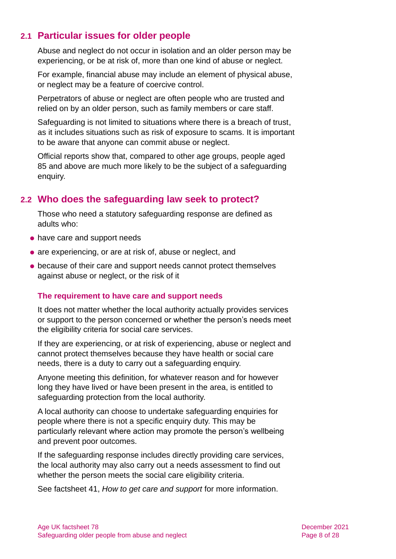### **2.1 Particular issues for older people**

Abuse and neglect do not occur in isolation and an older person may be experiencing, or be at risk of, more than one kind of abuse or neglect.

For example, financial abuse may include an element of physical abuse, or neglect may be a feature of coercive control.

Perpetrators of abuse or neglect are often people who are trusted and relied on by an older person, such as family members or care staff.

Safeguarding is not limited to situations where there is a breach of trust, as it includes situations such as risk of exposure to scams. It is important to be aware that anyone can commit abuse or neglect.

Official reports show that, compared to other age groups, people aged 85 and above are much more likely to be the subject of a safeguarding enquiry.

### **2.2 Who does the safeguarding law seek to protect?**

Those who need a statutory safeguarding response are defined as adults who:

- have care and support needs
- ⚫ are experiencing, or are at risk of, abuse or neglect, and
- because of their care and support needs cannot protect themselves against abuse or neglect, or the risk of it

#### **The requirement to have care and support needs**

It does not matter whether the local authority actually provides services or support to the person concerned or whether the person's needs meet the eligibility criteria for social care services.

If they are experiencing, or at risk of experiencing, abuse or neglect and cannot protect themselves because they have health or social care needs, there is a duty to carry out a safeguarding enquiry.

Anyone meeting this definition, for whatever reason and for however long they have lived or have been present in the area, is entitled to safeguarding protection from the local authority.

A local authority can choose to undertake safeguarding enquiries for people where there is not a specific enquiry duty. This may be particularly relevant where action may promote the person's wellbeing and prevent poor outcomes.

If the safeguarding response includes directly providing care services, the local authority may also carry out a needs assessment to find out whether the person meets the social care eligibility criteria.

See factsheet 41, *[How to get care and support](https://www.ageuk.org.uk/globalassets/age-uk/documents/factsheets/fs41_how_to_get_care_and_support_fcs.pdf)* for more information.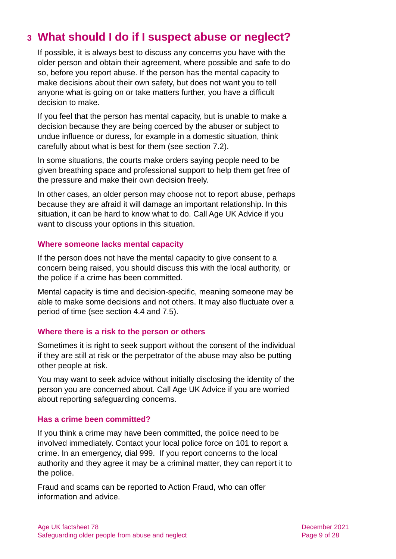# <span id="page-8-0"></span>**3 What should I do if I suspect abuse or neglect?**

If possible, it is always best to discuss any concerns you have with the older person and obtain their agreement, where possible and safe to do so, before you report abuse. If the person has the mental capacity to make decisions about their own safety, but does not want you to tell anyone what is going on or take matters further, you have a difficult decision to make.

If you feel that the person has mental capacity, but is unable to make a decision because they are being coerced by the abuser or subject to undue influence or duress, for example in a domestic situation, think carefully about what is best for them (see [section 7.2\)](#page-17-1).

In some situations, the courts make orders saying people need to be given breathing space and professional support to help them get free of the pressure and make their own decision freely.

In other cases, an older person may choose not to report abuse, perhaps because they are afraid it will damage an important relationship. In this situation, it can be hard to know what to do. [Call Age UK Advice](#page-26-3) if you want to discuss your options in this situation.

#### **Where someone lacks mental capacity**

If the person does not have the mental capacity to give consent to a concern being raised, you should discuss this with the local authority, or the police if a crime has been committed.

Mental capacity is time and decision-specific, meaning someone may be able to make some decisions and not others. It may also fluctuate over a period of time (see [section 4.4](#page-12-0) [and 7.5\)](#page-19-0).

#### **Where there is a risk to the person or others**

Sometimes it is right to seek support without the consent of the individual if they are still at risk or the perpetrator of the abuse may also be putting other people at risk.

You may want to seek advice without initially disclosing the identity of the person you are concerned about. Call [Age UK Advice](#page-26-3) if you are worried about reporting safeguarding concerns.

#### **Has a crime been committed?**

If you think a crime may have been committed, the police need to be involved immediately. Contact your local police force on 101 to report a crime. In an emergency, dial 999. If you report concerns to the local authority and they agree it may be a criminal matter, they can report it to the police.

Fraud and scams can be reported to [Action Fraud,](#page-24-0) who can offer information and advice.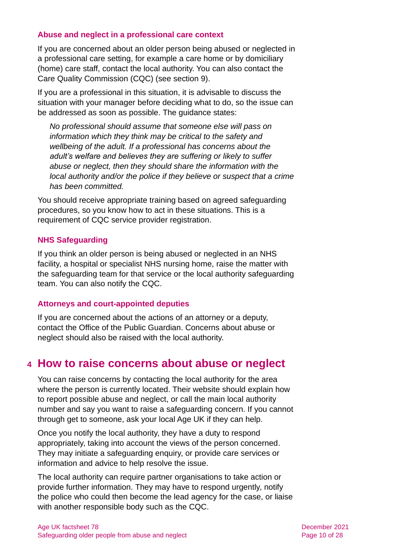#### **Abuse and neglect in a professional care context**

If you are concerned about an older person being abused or neglected in a professional care setting, for example a care home or by domiciliary (home) care staff, contact the local authority. You can also contact the [Care Quality Commission](http://www.cqc.org.uk/) (CQC) [\(see section 9\)](#page-22-0).

If you are a professional in this situation, it is advisable to discuss the situation with your manager before deciding what to do, so the issue can be addressed as soon as possible. The guidance states:

*No professional should assume that someone else will pass on information which they think may be critical to the safety and wellbeing of the adult. If a professional has concerns about the adult's welfare and believes they are suffering or likely to suffer abuse or neglect, then they should share the information with the local authority and/or the police if they believe or suspect that a crime has been committed.*

You should receive appropriate training based on agreed safeguarding procedures, so you know how to act in these situations. This is a requirement of CQC service provider registration.

#### **NHS Safeguarding**

If you think an older person is being abused or neglected in an NHS facility, a hospital or specialist NHS nursing home, raise the matter with the safeguarding team for that service or the local authority safeguarding team. You can also notify the [CQC.](#page-24-1)

#### **Attorneys and court-appointed deputies**

If you are concerned about the actions of an attorney or a deputy, contact the [Office of the Public Guardian.](#page-25-0) Concerns about abuse or neglect should also be raised with the local authority.

# <span id="page-9-0"></span>**4 How to raise concerns about abuse or neglect**

You can raise concerns by contacting the local authority for the area where the person is currently located. Their website should explain how to report possible abuse and neglect, or call the main local authority number and say you want to raise a safeguarding concern. If you cannot through get to someone, ask your [local Age UK](#page-26-3) if they can help.

Once you notify the local authority, they have a duty to respond appropriately, taking into account the views of the person concerned. They may initiate a safeguarding enquiry, or provide care services or information and advice to help resolve the issue.

The local authority can require partner organisations to take action or provide further information. They may have to respond urgently, notify the police who could then become the lead agency for the case, or liaise with another responsible body such as the [CQC.](#page-24-1)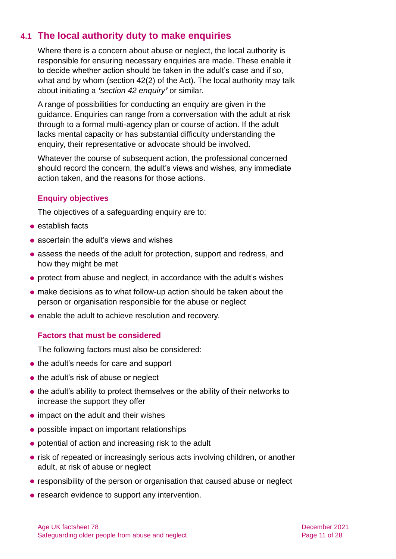# **4.1 The local authority duty to make enquiries**

Where there is a concern about abuse or neglect, the local authority is responsible for ensuring necessary enquiries are made. These enable it to decide whether action should be taken in the adult's case and if so, what and by whom (section 42(2) of the Act). The local authority may talk about initiating a *'section 42 enquiry'* or similar.

A range of possibilities for conducting an enquiry are given in the guidance. Enquiries can range from a conversation with the adult at risk through to a formal multi-agency plan or course of action. If the adult lacks mental capacity or has substantial difficulty understanding the enquiry, their representative or advocate should be involved.

Whatever the course of subsequent action, the professional concerned should record the concern, the adult's views and wishes, any immediate action taken, and the reasons for those actions.

#### **Enquiry objectives**

The objectives of a safeguarding enquiry are to:

- establish facts
- ascertain the adult's views and wishes
- ⚫ assess the needs of the adult for protection, support and redress, and how they might be met
- protect from abuse and neglect, in accordance with the adult's wishes
- ⚫ make decisions as to what follow-up action should be taken about the person or organisation responsible for the abuse or neglect
- enable the adult to achieve resolution and recovery.

#### **Factors that must be considered**

The following factors must also be considered:

- the adult's needs for care and support
- the adult's risk of abuse or neglect
- the adult's ability to protect themselves or the ability of their networks to increase the support they offer
- impact on the adult and their wishes
- possible impact on important relationships
- potential of action and increasing risk to the adult
- risk of repeated or increasingly serious acts involving children, or another adult, at risk of abuse or neglect
- responsibility of the person or organisation that caused abuse or neglect
- research evidence to support any intervention.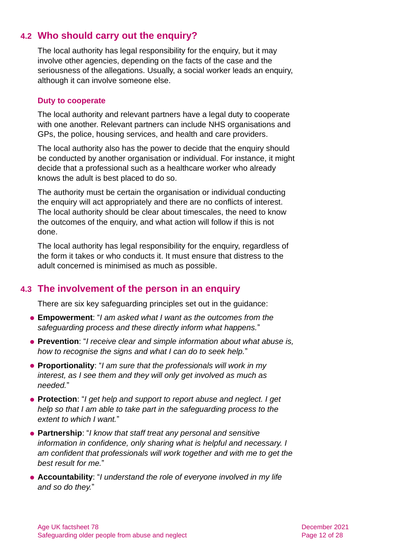# **4.2 Who should carry out the enquiry?**

The local authority has legal responsibility for the enquiry, but it may involve other agencies, depending on the facts of the case and the seriousness of the allegations. Usually, a social worker leads an enquiry, although it can involve someone else.

#### **Duty to cooperate**

The local authority and relevant partners have a legal duty to cooperate with one another. Relevant partners can include NHS organisations and GPs, the police, housing services, and health and care providers.

The local authority also has the power to decide that the enquiry should be conducted by another organisation or individual. For instance, it might decide that a professional such as a healthcare worker who already knows the adult is best placed to do so.

The authority must be certain the organisation or individual conducting the enquiry will act appropriately and there are no conflicts of interest. The local authority should be clear about timescales, the need to know the outcomes of the enquiry, and what action will follow if this is not done.

The local authority has legal responsibility for the enquiry, regardless of the form it takes or who conducts it. It must ensure that distress to the adult concerned is minimised as much as possible.

### **4.3 The involvement of the person in an enquiry**

There are six key safeguarding principles set out in the guidance:

- ⚫ **Empowerment**: "*I am asked what I want as the outcomes from the safeguarding process and these directly inform what happens.*"
- ⚫ **Prevention**: "*I receive clear and simple information about what abuse is, how to recognise the signs and what I can do to seek help.*"
- ⚫ **Proportionality**: "*I am sure that the professionals will work in my interest, as I see them and they will only get involved as much as needed.*"
- ⚫ **Protection**: "*I get help and support to report abuse and neglect. I get help so that I am able to take part in the safeguarding process to the extent to which I want.*"
- ⚫ **Partnership**: "*I know that staff treat any personal and sensitive information in confidence, only sharing what is helpful and necessary. I am confident that professionals will work together and with me to get the best result for me.*"
- ⚫ **Accountability**: "*I understand the role of everyone involved in my life and so do they.*"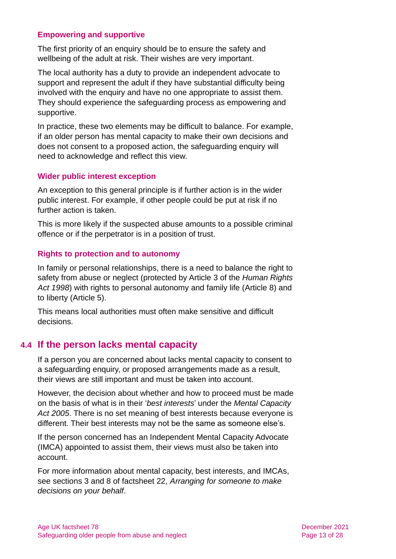#### **Empowering and supportive**

The first priority of an enquiry should be to ensure the safety and wellbeing of the adult at risk. Their wishes are very important.

The local authority has a duty to provide an independent advocate to support and represent the adult if they have substantial difficulty being involved with the enquiry and have no one appropriate to assist them. They should experience the safeguarding process as empowering and supportive.

In practice, these two elements may be difficult to balance. For example, if an older person has mental capacity to make their own decisions and does not consent to a proposed action, the safeguarding enquiry will need to acknowledge and reflect this view.

#### **Wider public interest exception**

An exception to this general principle is if further action is in the wider public interest. For example, if other people could be put at risk if no further action is taken.

This is more likely if the suspected abuse amounts to a possible criminal offence or if the perpetrator is in a position of trust.

#### **Rights to protection and to autonomy**

In family or personal relationships, there is a need to balance the right to safety from abuse or neglect (protected by Article 3 of the *Human Rights Act 1998*) with rights to personal autonomy and family life (Article 8) and to liberty (Article 5).

<span id="page-12-0"></span>This means local authorities must often make sensitive and difficult decisions.

### **4.4 If the person lacks mental capacity**

If a person you are concerned about lacks mental capacity to consent to a safeguarding enquiry, or proposed arrangements made as a result, their views are still important and must be taken into account.

However, the decision about whether and how to proceed must be made on the basis of what is in their '*best interests*' under the *Mental Capacity Act 2005*. There is no set meaning of best interests because everyone is different. Their best interests may not be the same as someone else's.

If the person concerned has an Independent Mental Capacity Advocate (IMCA) appointed to assist them, their views must also be taken into account.

For more information about mental capacity, best interests, and IMCAs, see sections 3 and 8 of factsheet 22, *[Arranging for someone to make](https://www.ageuk.org.uk/globalassets/age-uk/documents/factsheets/fs22_arranging_for_someone_to_make_decisions_on_your_behalf_fcs.pdf)  [decisions on your behalf](https://www.ageuk.org.uk/globalassets/age-uk/documents/factsheets/fs22_arranging_for_someone_to_make_decisions_on_your_behalf_fcs.pdf)*.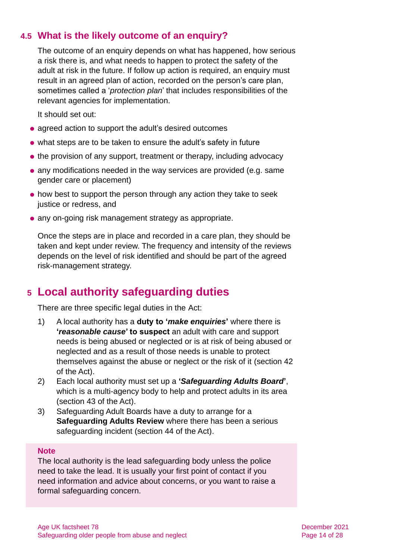### **4.5 What is the likely outcome of an enquiry?**

The outcome of an enquiry depends on what has happened, how serious a risk there is, and what needs to happen to protect the safety of the adult at risk in the future. If follow up action is required, an enquiry must result in an agreed plan of action, recorded on the person's care plan, sometimes called a '*protection plan*' that includes responsibilities of the relevant agencies for implementation.

It should set out:

- agreed action to support the adult's desired outcomes
- ⚫ what steps are to be taken to ensure the adult's safety in future
- the provision of any support, treatment or therapy, including advocacy
- ⚫ any modifications needed in the way services are provided (e.g. same gender care or placement)
- ⚫ how best to support the person through any action they take to seek justice or redress, and
- ⚫ any on-going risk management strategy as appropriate.

Once the steps are in place and recorded in a care plan, they should be taken and kept under review. The frequency and intensity of the reviews depends on the level of risk identified and should be part of the agreed risk-management strategy.

# <span id="page-13-0"></span>**5 Local authority safeguarding duties**

There are three specific legal duties in the Act:

- 1) A local authority has a **duty to '***make enquiries***'** where there is **'***reasonable cause***' to suspect** an adult with care and support needs is being abused or neglected or is at risk of being abused or neglected and as a result of those needs is unable to protect themselves against the abuse or neglect or the risk of it (section 42 of the Act).
- 2) Each local authority must set up a **'***Safeguarding Adults Board***'**, which is a multi-agency body to help and protect adults in its area (section 43 of the Act).
- 3) Safeguarding Adult Boards have a duty to arrange for a **Safeguarding Adults Review** where there has been a serious safeguarding incident (section 44 of the Act).

#### **Note**

The local authority is the lead safeguarding body unless the police need to take the lead. It is usually your first point of contact if you need information and advice about concerns, or you want to raise a formal safeguarding concern.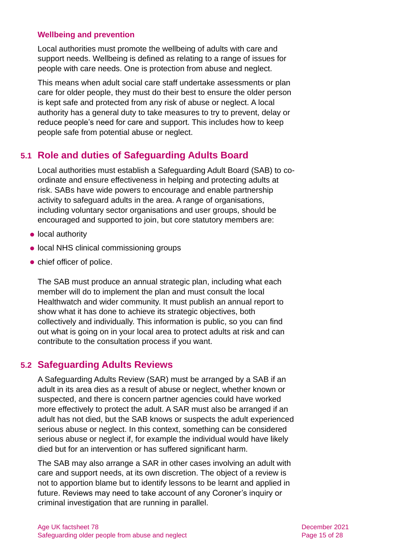#### **Wellbeing and prevention**

Local authorities must promote the wellbeing of adults with care and support needs. Wellbeing is defined as relating to a range of issues for people with care needs. One is protection from abuse and neglect.

This means when adult social care staff undertake assessments or plan care for older people, they must do their best to ensure the older person is kept safe and protected from any risk of abuse or neglect. A local authority has a general duty to take measures to try to prevent, delay or reduce people's need for care and support. This includes how to keep people safe from potential abuse or neglect.

### **5.1 Role and duties of Safeguarding Adults Board**

Local authorities must establish a Safeguarding Adult Board (SAB) to coordinate and ensure effectiveness in helping and protecting adults at risk. SABs have wide powers to encourage and enable partnership activity to safeguard adults in the area. A range of organisations, including voluntary sector organisations and user groups, should be encouraged and supported to join, but core statutory members are:

- local authority
- local NHS clinical commissioning groups
- ⚫ chief officer of police.

The SAB must produce an annual strategic plan, including what each member will do to implement the plan and must consult the local Healthwatch and wider community. It must publish an annual report to show what it has done to achieve its strategic objectives, both collectively and individually. This information is public, so you can find out what is going on in your local area to protect adults at risk and can contribute to the consultation process if you want.

### **5.2 Safeguarding Adults Reviews**

A Safeguarding Adults Review (SAR) must be arranged by a SAB if an adult in its area dies as a result of abuse or neglect, whether known or suspected, and there is concern partner agencies could have worked more effectively to protect the adult. A SAR must also be arranged if an adult has not died, but the SAB knows or suspects the adult experienced serious abuse or neglect. In this context, something can be considered serious abuse or neglect if, for example the individual would have likely died but for an intervention or has suffered significant harm.

The SAB may also arrange a SAR in other cases involving an adult with care and support needs, at its own discretion. The object of a review is not to apportion blame but to identify lessons to be learnt and applied in future. Reviews may need to take account of any Coroner's inquiry or criminal investigation that are running in parallel.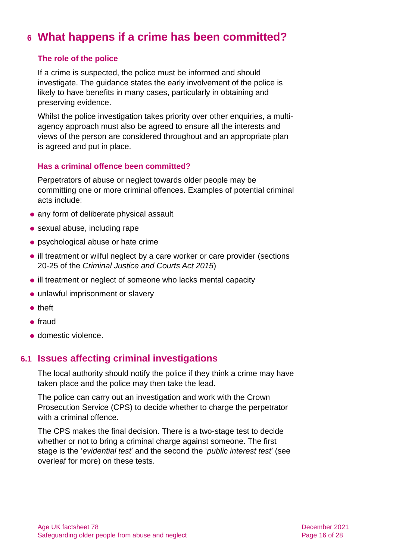# <span id="page-15-0"></span>**6 What happens if a crime has been committed?**

#### **The role of the police**

If a crime is suspected, the police must be informed and should investigate. The guidance states the early involvement of the police is likely to have benefits in many cases, particularly in obtaining and preserving evidence.

Whilst the police investigation takes priority over other enquiries, a multiagency approach must also be agreed to ensure all the interests and views of the person are considered throughout and an appropriate plan is agreed and put in place.

#### **Has a criminal offence been committed?**

Perpetrators of abuse or neglect towards older people may be committing one or more criminal offences. Examples of potential criminal acts include:

- any form of deliberate physical assault
- sexual abuse, including rape
- ⚫ psychological abuse or hate crime
- ⚫ ill treatment or wilful neglect by a care worker or care provider (sections 20-25 of the *[Criminal Justice and Courts Act 2015](https://www.legislation.gov.uk/ukpga/2015/2/contents)*)
- ill treatment or neglect of someone who lacks mental capacity
- ⚫ unlawful imprisonment or slavery
- ⚫ theft
- ⚫ fraud
- ⚫ domestic violence.

### **6.1 Issues affecting criminal investigations**

The local authority should notify the police if they think a crime may have taken place and the police may then take the lead.

The police can carry out an investigation and work with the Crown Prosecution Service (CPS) to decide whether to charge the perpetrator with a criminal offence.

The CPS makes the final decision. There is a two-stage test to decide whether or not to bring a criminal charge against someone. The first stage is the '*evidential test*' and the second the '*public interest test*' (see overleaf for more) on these tests.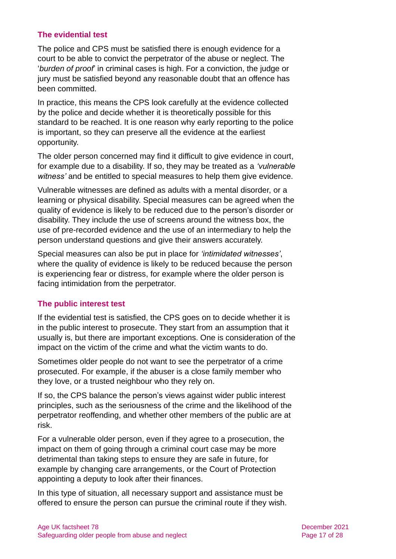#### **The evidential test**

The police and CPS must be satisfied there is enough evidence for a court to be able to convict the perpetrator of the abuse or neglect. The '*burden of proof*' in criminal cases is high. For a conviction, the judge or jury must be satisfied beyond any reasonable doubt that an offence has been committed.

In practice, this means the CPS look carefully at the evidence collected by the police and decide whether it is theoretically possible for this standard to be reached. It is one reason why early reporting to the police is important, so they can preserve all the evidence at the earliest opportunity.

The older person concerned may find it difficult to give evidence in court, for example due to a disability. If so, they may be treated as a *'vulnerable witness'* and be entitled to special measures to help them give evidence.

Vulnerable witnesses are defined as adults with a mental disorder, or a learning or physical disability. Special measures can be agreed when the quality of evidence is likely to be reduced due to the person's disorder or disability. They include the use of screens around the witness box, the use of pre-recorded evidence and the use of an intermediary to help the person understand questions and give their answers accurately.

Special measures can also be put in place for *'intimidated witnesses'*, where the quality of evidence is likely to be reduced because the person is experiencing fear or distress, for example where the older person is facing intimidation from the perpetrator.

#### **The public interest test**

If the evidential test is satisfied, the CPS goes on to decide whether it is in the public interest to prosecute. They start from an assumption that it usually is, but there are important exceptions. One is consideration of the impact on the victim of the crime and what the victim wants to do.

Sometimes older people do not want to see the perpetrator of a crime prosecuted. For example, if the abuser is a close family member who they love, or a trusted neighbour who they rely on.

If so, the CPS balance the person's views against wider public interest principles, such as the seriousness of the crime and the likelihood of the perpetrator reoffending, and whether other members of the public are at risk.

For a vulnerable older person, even if they agree to a prosecution, the impact on them of going through a criminal court case may be more detrimental than taking steps to ensure they are safe in future, for example by changing care arrangements, or the Court of Protection appointing a deputy to look after their finances.

In this type of situation, all necessary support and assistance must be offered to ensure the person can pursue the criminal route if they wish.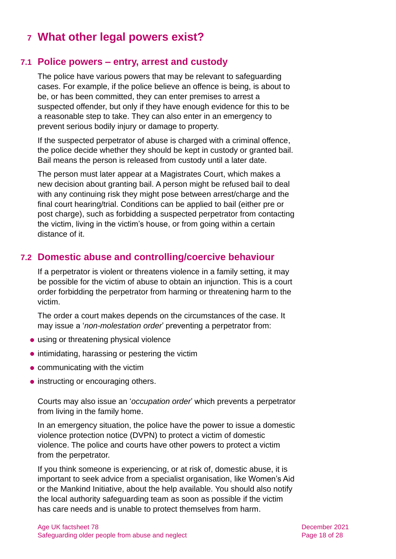# <span id="page-17-0"></span>**7 What other legal powers exist?**

### **7.1 Police powers – entry, arrest and custody**

The police have various powers that may be relevant to safeguarding cases. For example, if the police believe an offence is being, is about to be, or has been committed, they can enter premises to arrest a suspected offender, but only if they have enough evidence for this to be a reasonable step to take. They can also enter in an emergency to prevent serious bodily injury or damage to property.

If the suspected perpetrator of abuse is charged with a criminal offence, the police decide whether they should be kept in custody or granted bail. Bail means the person is released from custody until a later date.

The person must later appear at a Magistrates Court, which makes a new decision about granting bail. A person might be refused bail to deal with any continuing risk they might pose between arrest/charge and the final court hearing/trial. Conditions can be applied to bail (either pre or post charge), such as forbidding a suspected perpetrator from contacting the victim, living in the victim's house, or from going within a certain distance of it.

### <span id="page-17-1"></span>**7.2 Domestic abuse and controlling/coercive behaviour**

If a perpetrator is violent or threatens violence in a family setting, it may be possible for the victim of abuse to obtain an injunction. This is a court order forbidding the perpetrator from harming or threatening harm to the victim.

The order a court makes depends on the circumstances of the case. It may issue a '*non-molestation order*' preventing a perpetrator from:

- ⚫ using or threatening physical violence
- ⚫ intimidating, harassing or pestering the victim
- communicating with the victim
- instructing or encouraging others.

Courts may also issue an '*occupation order*' which prevents a perpetrator from living in the family home.

In an emergency situation, the police have the power to issue a domestic violence protection notice (DVPN) to protect a victim of domestic violence. The police and courts have other powers to protect a victim from the perpetrator.

If you think someone is experiencing, or at risk of, domestic abuse, it is important to seek advice from a specialist organisation, like Women's Aid or the Mankind Initiative, about the help available. You should also notify the local authority safeguarding team as soon as possible if the victim has care needs and is unable to protect themselves from harm.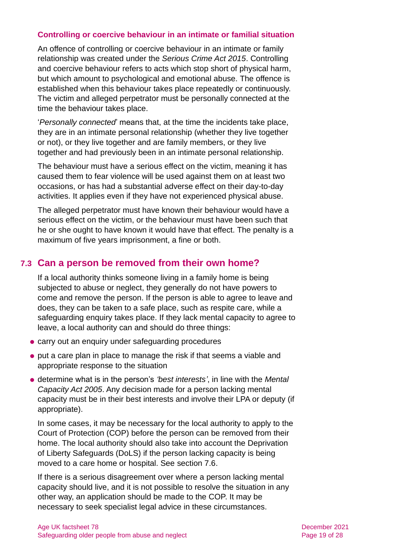#### **Controlling or coercive behaviour in an intimate or familial situation**

An offence of controlling or coercive behaviour in an intimate or family relationship was created under the *[Serious Crime Act 2015](https://www.legislation.gov.uk/ukpga/2015/9/contents)*. Controlling and coercive behaviour refers to acts which stop short of physical harm, but which amount to psychological and emotional abuse. The offence is established when this behaviour takes place repeatedly or continuously. The victim and alleged perpetrator must be personally connected at the time the behaviour takes place.

'*Personally connected*' means that, at the time the incidents take place, they are in an intimate personal relationship (whether they live together or not), or they live together and are family members, or they live together and had previously been in an intimate personal relationship.

The behaviour must have a serious effect on the victim, meaning it has caused them to fear violence will be used against them on at least two occasions, or has had a substantial adverse effect on their day-to-day activities. It applies even if they have not experienced physical abuse.

The alleged perpetrator must have known their behaviour would have a serious effect on the victim, or the behaviour must have been such that he or she ought to have known it would have that effect. The penalty is a maximum of five years imprisonment, a fine or both.

### **7.3 Can a person be removed from their own home?**

If a local authority thinks someone living in a family home is being subjected to abuse or neglect, they generally do not have powers to come and remove the person. If the person is able to agree to leave and does, they can be taken to a safe place, such as respite care, while a safeguarding enquiry takes place. If they lack mental capacity to agree to leave, a local authority can and should do three things:

- ⚫ carry out an enquiry under safeguarding procedures
- ⚫ put a care plan in place to manage the risk if that seems a viable and appropriate response to the situation
- ⚫ determine what is in the person's *'best interests'*, in line with the *[Mental](https://www.legislation.gov.uk/ukpga/2005/9/contents)  [Capacity Act 2005](https://www.legislation.gov.uk/ukpga/2005/9/contents)*. Any decision made for a person lacking mental capacity must be in their best interests and involve their LPA or deputy (if appropriate).

In some cases, it may be necessary for the local authority to apply to the Court of Protection (COP) before the person can be removed from their home. The local authority should also take into account the Deprivation of Liberty Safeguards (DoLS) if the person lacking capacity is being moved to a care home or hospital. See [section 7.6.](#page-20-0)

If there is a serious disagreement over where a person lacking mental capacity should live, and it is not possible to resolve the situation in any other way, an application should be made to the COP. It may be necessary to seek specialist legal advice in these circumstances.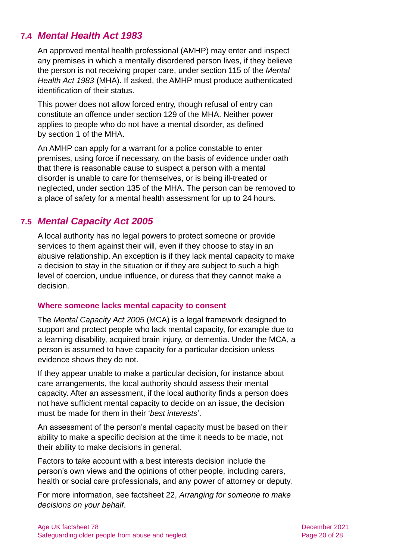# **7.4** *Mental Health Act 1983*

An approved mental health professional (AMHP) may enter and inspect any premises in which a mentally disordered person lives, if they believe the person is not receiving proper care, under section 115 of the *[Mental](https://www.legislation.gov.uk/ukpga/1983/20/contents)  [Health Act 1983](https://www.legislation.gov.uk/ukpga/1983/20/contents)* (MHA). If asked, the AMHP must produce authenticated identification of their status.

This power does not allow forced entry, though refusal of entry can constitute an offence under [section 129 of the MHA.](http://www.legislation.gov.uk/ukpga/1983/20/section/129) Neither power applies to people who do not have a mental disorder, as [defined](http://www.legislation.gov.uk/ukpga/1983/20/section/1)  by [section 1 of the MHA.](http://www.legislation.gov.uk/ukpga/1983/20/section/1)

An AMHP can apply for a warrant for a police constable to enter premises, using force if necessary, on the basis of evidence under oath that there is reasonable cause to suspect a person with a mental disorder is unable to care for themselves, or is being ill-treated or neglected, under section 135 of the MHA. The person can be removed to a place of safety for a mental health assessment for up to 24 hours.

### <span id="page-19-0"></span>**7.5** *Mental Capacity Act 2005*

A local authority has no legal powers to protect someone or provide services to them against their will, even if they choose to stay in an abusive relationship. An exception is if they lack mental capacity to make a decision to stay in the situation or if they are subject to such a high level of coercion, undue influence, or duress that they cannot make a decision.

#### **Where someone lacks mental capacity to consent**

The *[Mental Capacity Act 2005](https://www.legislation.gov.uk/ukpga/2005/9/contents)* (MCA) is a legal framework designed to support and protect people who lack mental capacity, for example due to a learning disability, acquired brain injury, or dementia. Under the MCA, a person is assumed to have capacity for a particular decision unless evidence shows they do not.

If they appear unable to make a particular decision, for instance about care arrangements, the local authority should assess their mental capacity. After an assessment, if the local authority finds a person does not have sufficient mental capacity to decide on an issue, the decision must be made for them in their '*best interests*'.

An assessment of the person's mental capacity must be based on their ability to make a specific decision at the time it needs to be made, not their ability to make decisions in general.

Factors to take account with a best interests decision include the person's own views and the opinions of other people, including carers, health or social care professionals, and any power of attorney or deputy.

For more information, see factsheet 22, *[Arranging for someone to make](https://www.ageuk.org.uk/globalassets/age-uk/documents/factsheets/fs22_arranging_for_someone_to_make_decisions_on_your_behalf_fcs.pdf)  [decisions on your behalf](https://www.ageuk.org.uk/globalassets/age-uk/documents/factsheets/fs22_arranging_for_someone_to_make_decisions_on_your_behalf_fcs.pdf)*.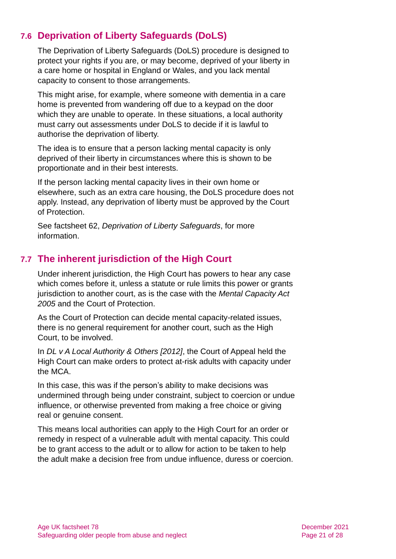# <span id="page-20-0"></span>**7.6 Deprivation of Liberty Safeguards (DoLS)**

The Deprivation of Liberty Safeguards (DoLS) procedure is designed to protect your rights if you are, or may become, deprived of your liberty in a care home or hospital in England or Wales, and you lack mental capacity to consent to those arrangements.

This might arise, for example, where someone with dementia in a care home is prevented from wandering off due to a keypad on the door which they are unable to operate. In these situations, a local authority must carry out assessments under DoLS to decide if it is lawful to authorise the deprivation of liberty.

The idea is to ensure that a person lacking mental capacity is only deprived of their liberty in circumstances where this is shown to be proportionate and in their best interests.

If the person lacking mental capacity lives in their own home or elsewhere, such as an extra care housing, the DoLS procedure does not apply. Instead, any deprivation of liberty must be approved by the Court of Protection.

See factsheet 62, *[Deprivation of Liberty Safeguards](https://www.ageuk.org.uk/globalassets/age-uk/documents/factsheets/fs62_deprivation_of_liberty_safeguards_fcs.pdf)*, for more information.

# **7.7 The inherent jurisdiction of the High Court**

Under inherent jurisdiction, the High Court has powers to hear any case which comes before it, unless a statute or rule limits this power or grants jurisdiction to another court, as is the case with the *Mental Capacity Act 2005* and the Court of Protection.

As the Court of Protection can decide mental capacity-related issues, there is no general requirement for another court, such as the High Court, to be involved.

In *[DL v A Local Authority & Others \[2012\]](http://www.bailii.org/ew/cases/EWCA/Civ/2012/253.html)*, the Court of Appeal held the High Court can make orders to protect at-risk adults with capacity under the MCA.

In this case, this was if the person's ability to make decisions was undermined through being under constraint, subject to coercion or undue influence, or otherwise prevented from making a free choice or giving real or genuine consent.

This means local authorities can apply to the High Court for an order or remedy in respect of a vulnerable adult with mental capacity. This could be to grant access to the adult or to allow for action to be taken to help the adult make a decision free from undue influence, duress or coercion.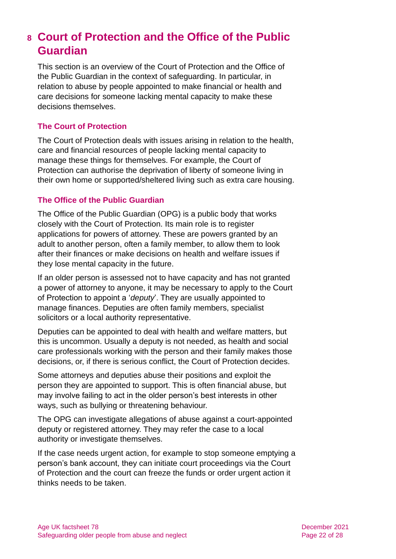# <span id="page-21-0"></span>**8 Court of Protection and the Office of the Public Guardian**

This section is an overview of the Court of Protection and the Office of the Public Guardian in the context of safeguarding. In particular, in relation to abuse by people appointed to make financial or health and care decisions for someone lacking mental capacity to make these decisions themselves.

#### **The Court of Protection**

The Court of Protection deals with issues arising in relation to the health, care and financial resources of people lacking mental capacity to manage these things for themselves. For example, the Court of Protection can authorise the deprivation of liberty of someone living in their own home or supported/sheltered living such as extra care housing.

#### **The Office of the Public Guardian**

The Office of the Public Guardian (OPG) is a public body that works closely with the Court of Protection. Its main role is to register applications for powers of attorney. These are powers granted by an adult to another person, often a family member, to allow them to look after their finances or make decisions on health and welfare issues if they lose mental capacity in the future.

If an older person is assessed not to have capacity and has not granted a power of attorney to anyone, it may be necessary to apply to the Court of Protection to appoint a '*deputy*'. They are usually appointed to manage finances. Deputies are often family members, specialist solicitors or a local authority representative.

Deputies can be appointed to deal with health and welfare matters, but this is uncommon. Usually a deputy is not needed, as health and social care professionals working with the person and their family makes those decisions, or, if there is serious conflict, the Court of Protection decides.

Some attorneys and deputies abuse their positions and exploit the person they are appointed to support. This is often financial abuse, but may involve failing to act in the older person's best interests in other ways, such as bullying or threatening behaviour.

The OPG can investigate allegations of abuse against a court-appointed deputy or registered attorney. They may refer the case to a local authority or investigate themselves.

If the case needs urgent action, for example to stop someone emptying a person's bank account, they can initiate court proceedings via the Court of Protection and the court can freeze the funds or order urgent action it thinks needs to be taken.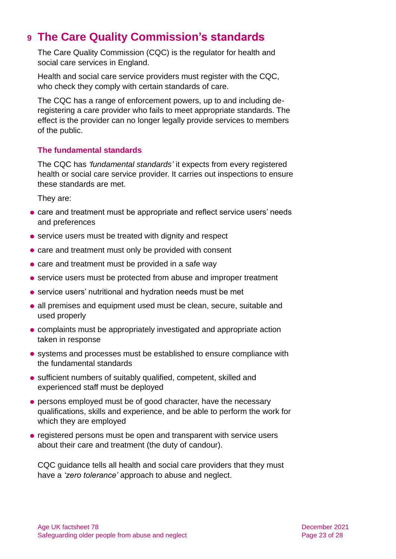# <span id="page-22-0"></span>**9 The Care Quality Commission's standards**

The Care Quality Commission (CQC) is the regulator for health and social care services in England.

Health and social care service providers must register with the CQC. who check they comply with certain standards of care.

The CQC has a range of enforcement powers, up to and including deregistering a care provider who fails to meet appropriate standards. The effect is the provider can no longer legally provide services to members of the public.

#### **The fundamental standards**

The CQC has *'fundamental standards'* it expects from every registered health or social care service provider. It carries out inspections to ensure these standards are met.

They are:

- care and treatment must be appropriate and reflect service users' needs and preferences
- service users must be treated with dignity and respect
- care and treatment must only be provided with consent
- care and treatment must be provided in a safe way
- service users must be protected from abuse and improper treatment
- ⚫ service users' nutritional and hydration needs must be met
- ⚫ all premises and equipment used must be clean, secure, suitable and used properly
- ⚫ complaints must be appropriately investigated and appropriate action taken in response
- ⚫ systems and processes must be established to ensure compliance with the fundamental standards
- sufficient numbers of suitably qualified, competent, skilled and experienced staff must be deployed
- ⚫ persons employed must be of good character, have the necessary qualifications, skills and experience, and be able to perform the work for which they are employed
- registered persons must be open and transparent with service users about their care and treatment (the duty of candour).

CQC guidance tells all health and social care providers that they must have a *'zero tolerance'* approach to abuse and neglect.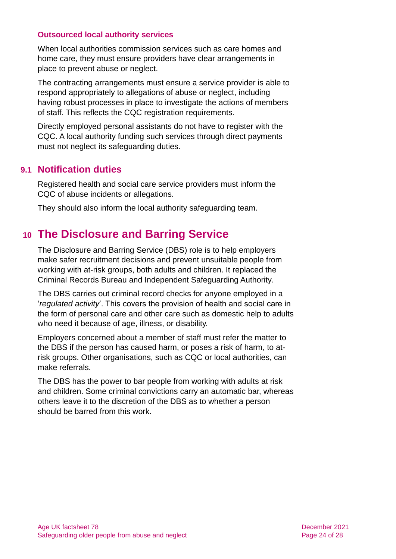#### **Outsourced local authority services**

When local authorities commission services such as care homes and home care, they must ensure providers have clear arrangements in place to prevent abuse or neglect.

The contracting arrangements must ensure a service provider is able to respond appropriately to allegations of abuse or neglect, including having robust processes in place to investigate the actions of members of staff. This reflects the CQC registration requirements.

Directly employed personal assistants do not have to register with the CQC. A local authority funding such services through direct payments must not neglect its safeguarding duties.

### **9.1 Notification duties**

Registered health and social care service providers must inform the CQC of abuse incidents or allegations.

<span id="page-23-0"></span>They should also inform the local authority safeguarding team.

# **10 The Disclosure and Barring Service**

The Disclosure and Barring Service (DBS) role is to help employers make safer recruitment decisions and prevent unsuitable people from working with at-risk groups, both adults and children. It replaced the Criminal Records Bureau and Independent Safeguarding Authority.

The DBS carries out criminal record checks for anyone employed in a '*regulated activity*'. This covers the provision of health and social care in the form of personal care and other care such as domestic help to adults who need it because of age, illness, or disability.

Employers concerned about a member of staff must refer the matter to the DBS if the person has caused harm, or poses a risk of harm, to atrisk groups. Other organisations, such as CQC or local authorities, can make referrals.

The DBS has the power to bar people from working with adults at risk and children. Some criminal convictions carry an automatic bar, whereas others leave it to the discretion of the DBS as to whether a person should be barred from this work.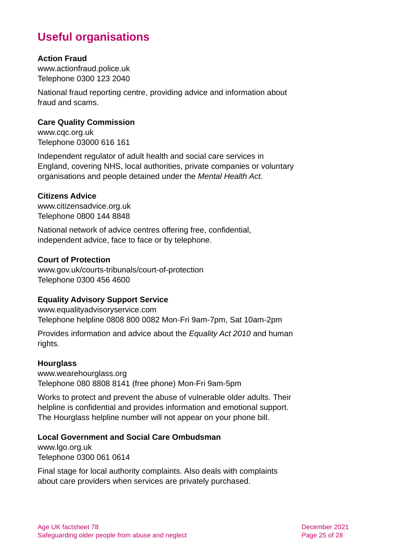# **Useful organisations**

#### <span id="page-24-0"></span>**Action Fraud**

[www.actionfraud.police.uk](https://www.actionfraud.police.uk/) Telephone 0300 123 2040

National fraud reporting centre, providing advice and information about fraud and scams.

#### <span id="page-24-1"></span>**Care Quality Commission**

[www.cqc.org.uk](http://www.cqc.org.uk/) Telephone 03000 616 161

Independent regulator of adult health and social care services in England, covering NHS, local authorities, private companies or voluntary organisations and people detained under the *Mental Health Act*.

#### **Citizens Advice**

[www.citizensadvice.org.uk](http://www.citizensadvice.org.uk/) Telephone 0800 144 8848

National network of advice centres offering free, confidential, independent advice, face to face or by telephone.

#### **Court of Protection**

[www.gov.uk/courts-tribunals/court-of-protection](http://www.gov.uk/courts-tribunals/court-of-protection)  Telephone 0300 456 4600

#### **Equality Advisory Support Service**

[www.equalityadvisoryservice.com](http://www.equalityadvisoryservice.com/) Telephone helpline 0808 800 0082 Mon-Fri 9am-7pm, Sat 10am-2pm

Provides information and advice about the *Equality Act 2010* and human rights*.*

#### **Hourglass**

[www.wearehourglass.org](http://www.wearehourglass.org.uk/) Telephone 080 8808 8141 (free phone) Mon-Fri 9am-5pm

Works to protect and prevent the abuse of vulnerable older adults. Their helpline is confidential and provides information and emotional support. The Hourglass helpline number will not appear on your phone bill.

#### **Local Government and Social Care Ombudsman**

[www.lgo.org.uk](http://www.lgo.org.uk/) Telephone 0300 061 0614

Final stage for local authority complaints. Also deals with complaints about care providers when services are privately purchased.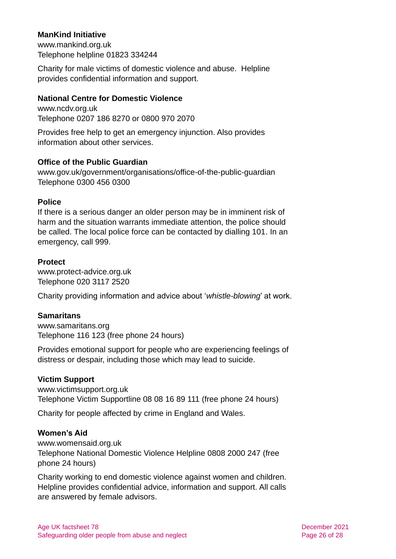#### **ManKind Initiative**

[www.mankind.org.uk](http://www.mankind.org.uk/) Telephone helpline 01823 334244

Charity for male victims of domestic violence and abuse. Helpline provides confidential information and support.

#### **National Centre for Domestic Violence**

[www.ncdv.org.uk](http://www.ncdv.org.uk/) Telephone 0207 186 8270 or 0800 970 2070

Provides free help to get an emergency injunction. Also provides information about other services.

#### <span id="page-25-0"></span>**Office of the Public Guardian**

[www.gov.uk/government/organisations/office-of-the-public-guardian](http://www.gov.uk/government/organisations/office-of-the-public-guardian) Telephone 0300 456 0300

#### **Police**

If there is a serious danger an older person may be in imminent risk of harm and the situation warrants immediate attention, the police should be called. The local police force can be contacted by dialling 101. In an emergency, call 999.

#### **Protect**

[www.protect-advice.org.uk](http://www.protect-advice.org.uk/) Telephone 020 3117 2520

Charity providing information and advice about '*whistle-blowing*' at work.

#### **Samaritans**

[www.samaritans.org](http://www.samaritans.org/) Telephone 116 123 (free phone 24 hours)

Provides emotional support for people who are experiencing feelings of distress or despair, including those which may lead to suicide.

#### **Victim Support**

[www.victimsupport.org.uk](http://www.victimsupport.org.uk/) Telephone Victim Supportline 08 08 16 89 111 (free phone 24 hours)

Charity for people affected by crime in England and Wales.

#### **Women's Aid**

[www.womensaid.org.uk](http://www.womensaid.org.uk/) Telephone National Domestic Violence Helpline 0808 2000 247 (free phone 24 hours)

Charity working to end domestic violence against women and children. Helpline provides confidential advice, information and support. All calls are answered by female advisors.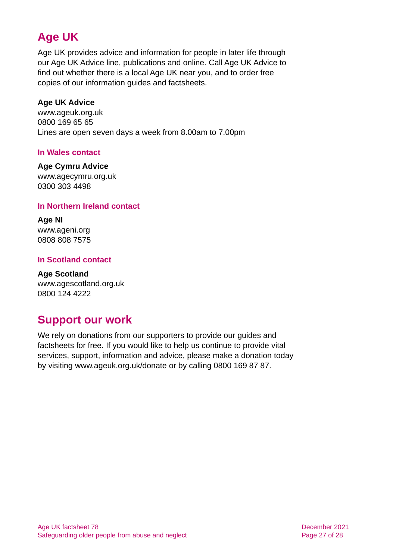# **Age UK**

Age UK provides advice and information for people in later life through our Age UK Advice line, publications and online. Call Age UK Advice to find out whether there is a local Age UK near you, and to order free copies of our information guides and factsheets.

#### <span id="page-26-3"></span>**Age UK Advice**

[www.ageuk.org.uk](http://www.ageuk.org.uk/) 0800 169 65 65 Lines are open seven days a week from 8.00am to 7.00pm

#### <span id="page-26-2"></span>**In Wales contact**

#### **Age Cymru Advice**

[www.agecymru.org.uk](http://www.agecymru.org.uk/) 0300 303 4498

#### <span id="page-26-0"></span>**In Northern Ireland contact**

**Age NI** [www.ageni.org](http://www.ageni.org/) 0808 808 7575

#### <span id="page-26-1"></span>**In Scotland contact**

<span id="page-26-4"></span>**Age Scotland** [www.agescotland.org.uk](http://www.agescotland.org.uk/) 0800 124 4222

# **Support our work**

We rely on donations from our supporters to provide our guides and factsheets for free. If you would like to help us continue to provide vital services, support, information and advice, please make a donation today by visiting [www.ageuk.org.uk/donate](http://www.ageuk.org.uk/donate) or by calling 0800 169 87 87.